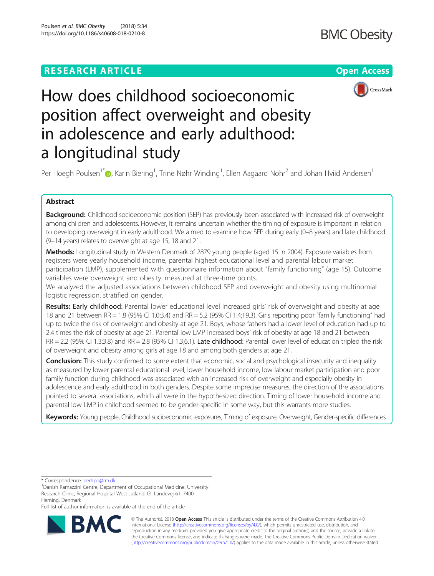## **RESEARCH ARTICLE Example 2014 12:30 The Open Access**



# How does childhood socioeconomic position affect overweight and obesity in adolescence and early adulthood: a longitudinal study

Per Hoegh Poulsen $^1$   $\bullet$ [,](http://orcid.org/0000-0002-0196-2290) Karin Biering $^1$ , Trine Nøhr Winding $^1$ , Ellen Aagaard Nohr $^2$  and Johan Hviid Andersen $^1$ 

## Abstract

Background: Childhood socioeconomic position (SEP) has previously been associated with increased risk of overweight among children and adolescents. However, it remains uncertain whether the timing of exposure is important in relation to developing overweight in early adulthood. We aimed to examine how SEP during early (0–8 years) and late childhood (9–14 years) relates to overweight at age 15, 18 and 21.

Methods: Longitudinal study in Western Denmark of 2879 young people (aged 15 in 2004). Exposure variables from registers were yearly household income, parental highest educational level and parental labour market participation (LMP), supplemented with questionnaire information about "family functioning" (age 15). Outcome variables were overweight and obesity, measured at three-time points.

We analyzed the adjusted associations between childhood SEP and overweight and obesity using multinomial logistic regression, stratified on gender.

Results: Early childhood: Parental lower educational level increased girls' risk of overweight and obesity at age 18 and 21 between RR = 1.8 (95% CI 1.0;3.4) and RR = 5.2 (95% CI 1.4;19.3). Girls reporting poor "family functioning" had up to twice the risk of overweight and obesity at age 21. Boys, whose fathers had a lower level of education had up to 2.4 times the risk of obesity at age 21. Parental low LMP increased boys' risk of obesity at age 18 and 21 between  $RR = 2.2$  (95% CI 1.3;3.8) and  $RR = 2.8$  (95% CI 1.3;6.1). Late childhood: Parental lower level of education tripled the risk of overweight and obesity among girls at age 18 and among both genders at age 21.

Conclusion: This study confirmed to some extent that economic, social and psychological insecurity and inequality as measured by lower parental educational level, lower household income, low labour market participation and poor family function during childhood was associated with an increased risk of overweight and especially obesity in adolescence and early adulthood in both genders. Despite some imprecise measures, the direction of the associations pointed to several associations, which all were in the hypothesized direction. Timing of lower household income and parental low LMP in childhood seemed to be gender-specific in some way, but this warrants more studies.

Keywords: Young people, Childhood socioeconomic exposures, Timing of exposure, Overweight, Gender-specific differences

\* Correspondence: [perhpo@rm.dk](mailto:perhpo@rm.dk) <sup>1</sup>

Full list of author information is available at the end of the article



© The Author(s). 2018 Open Access This article is distributed under the terms of the Creative Commons Attribution 4.0 International License [\(http://creativecommons.org/licenses/by/4.0/](http://creativecommons.org/licenses/by/4.0/)), which permits unrestricted use, distribution, and reproduction in any medium, provided you give appropriate credit to the original author(s) and the source, provide a link to the Creative Commons license, and indicate if changes were made. The Creative Commons Public Domain Dedication waiver [\(http://creativecommons.org/publicdomain/zero/1.0/](http://creativecommons.org/publicdomain/zero/1.0/)) applies to the data made available in this article, unless otherwise stated.

<sup>&</sup>lt;sup>1</sup> Danish Ramazzini Centre, Department of Occupational Medicine, University Research Clinic, Regional Hospital West Jutland, Gl. Landevej 61, 7400 Herning, Denmark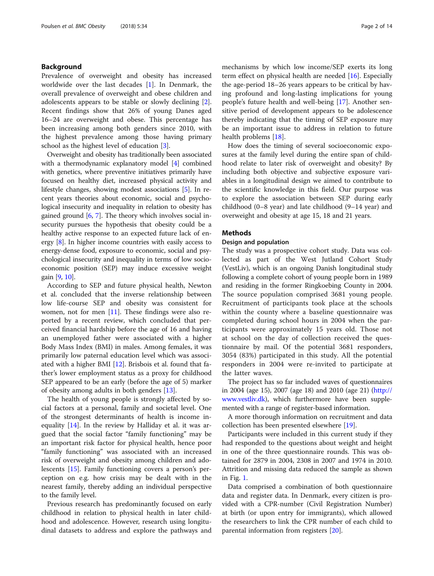## Background

Prevalence of overweight and obesity has increased worldwide over the last decades [\[1](#page-12-0)]. In Denmark, the overall prevalence of overweight and obese children and adolescents appears to be stable or slowly declining [\[2](#page-12-0)]. Recent findings show that 26% of young Danes aged 16–24 are overweight and obese. This percentage has been increasing among both genders since 2010, with the highest prevalence among those having primary school as the highest level of education [[3\]](#page-12-0).

Overweight and obesity has traditionally been associated with a thermodynamic explanatory model [\[4](#page-12-0)] combined with genetics, where preventive initiatives primarily have focused on healthy diet, increased physical activity and lifestyle changes, showing modest associations [\[5\]](#page-13-0). In recent years theories about economic, social and psychological insecurity and inequality in relation to obesity has gained ground [\[6,](#page-13-0) [7\]](#page-13-0). The theory which involves social insecurity pursues the hypothesis that obesity could be a healthy active response to an expected future lack of energy [\[8\]](#page-13-0). In higher income countries with easily access to energy-dense food, exposure to economic, social and psychological insecurity and inequality in terms of low socioeconomic position (SEP) may induce excessive weight gain [\[9,](#page-13-0) [10](#page-13-0)].

According to SEP and future physical health, Newton et al. concluded that the inverse relationship between low life-course SEP and obesity was consistent for women, not for men [\[11](#page-13-0)]. These findings were also reported by a recent review, which concluded that perceived financial hardship before the age of 16 and having an unemployed father were associated with a higher Body Mass Index (BMI) in males. Among females, it was primarily low paternal education level which was associated with a higher BMI [\[12\]](#page-13-0). Brisbois et al. found that father's lower employment status as a proxy for childhood SEP appeared to be an early (before the age of 5) marker of obesity among adults in both genders [[13](#page-13-0)].

The health of young people is strongly affected by social factors at a personal, family and societal level. One of the strongest determinants of health is income inequality [[14\]](#page-13-0). In the review by Halliday et al. it was argued that the social factor "family functioning" may be an important risk factor for physical health, hence poor "family functioning" was associated with an increased risk of overweight and obesity among children and adolescents [\[15\]](#page-13-0). Family functioning covers a person's perception on e.g. how crisis may be dealt with in the nearest family, thereby adding an individual perspective to the family level.

Previous research has predominantly focused on early childhood in relation to physical health in later childhood and adolescence. However, research using longitudinal datasets to address and explore the pathways and mechanisms by which low income/SEP exerts its long term effect on physical health are needed [[16](#page-13-0)]. Especially the age-period 18–26 years appears to be critical by having profound and long-lasting implications for young people's future health and well-being [[17\]](#page-13-0). Another sensitive period of development appears to be adolescence thereby indicating that the timing of SEP exposure may be an important issue to address in relation to future health problems [[18\]](#page-13-0).

How does the timing of several socioeconomic exposures at the family level during the entire span of childhood relate to later risk of overweight and obesity? By including both objective and subjective exposure variables in a longitudinal design we aimed to contribute to the scientific knowledge in this field. Our purpose was to explore the association between SEP during early childhood (0–8 year) and late childhood (9–14 year) and overweight and obesity at age 15, 18 and 21 years.

## Methods

## Design and population

The study was a prospective cohort study. Data was collected as part of the West Jutland Cohort Study (VestLiv), which is an ongoing Danish longitudinal study following a complete cohort of young people born in 1989 and residing in the former Ringkoebing County in 2004. The source population comprised 3681 young people. Recruitment of participants took place at the schools within the county where a baseline questionnaire was completed during school hours in 2004 when the participants were approximately 15 years old. Those not at school on the day of collection received the questionnaire by mail. Of the potential 3681 responders, 3054 (83%) participated in this study. All the potential responders in 2004 were re-invited to participate at the latter waves.

The project has so far included waves of questionnaires in 2004 (age 15), 2007 (age 18) and 2010 (age 21) ([http://](http://www.vestliv.dk) [www.vestliv.dk\)](http://www.vestliv.dk), which furthermore have been supplemented with a range of register-based information.

A more thorough information on recruitment and data collection has been presented elsewhere [[19\]](#page-13-0).

Participants were included in this current study if they had responded to the questions about weight and height in one of the three questionnaire rounds. This was obtained for 2879 in 2004, 2308 in 2007 and 1974 in 2010. Attrition and missing data reduced the sample as shown in Fig. [1](#page-2-0).

Data comprised a combination of both questionnaire data and register data. In Denmark, every citizen is provided with a CPR-number (Civil Registration Number) at birth (or upon entry for immigrants), which allowed the researchers to link the CPR number of each child to parental information from registers [\[20](#page-13-0)].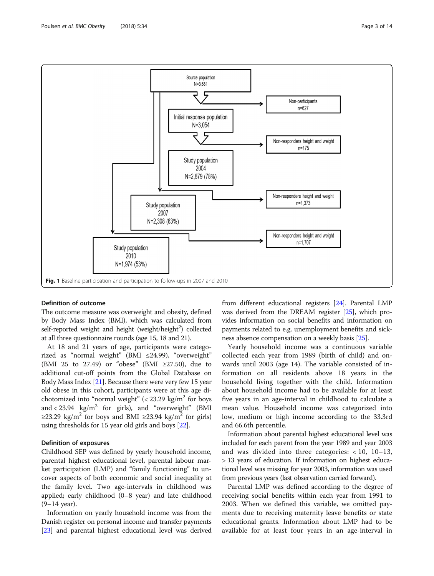<span id="page-2-0"></span>

## Definition of outcome

The outcome measure was overweight and obesity, defined by Body Mass Index (BMI), which was calculated from self-reported weight and height (weight/height<sup>2</sup>) collected at all three questionnaire rounds (age 15, 18 and 21).

At 18 and 21 years of age, participants were categorized as "normal weight" (BMI ≤24.99), "overweight" (BMI 25 to 27.49) or "obese" (BMI ≥27.50), due to additional cut-off points from the Global Database on Body Mass Index [[21](#page-13-0)]. Because there were very few 15 year old obese in this cohort, participants were at this age dichotomized into "normal weight"  $\left( < 23.29 \text{ kg/m}^2 \right)$  for boys and  $<$  23.94 kg/m<sup>2</sup> for girls), and "overweight" (BMI ≥23.29 kg/m<sup>2</sup> for boys and BMI ≥23.94 kg/m<sup>2</sup> for girls) using thresholds for 15 year old girls and boys [\[22\]](#page-13-0).

## Definition of exposures

Childhood SEP was defined by yearly household income, parental highest educational level, parental labour market participation (LMP) and "family functioning" to uncover aspects of both economic and social inequality at the family level. Two age-intervals in childhood was applied; early childhood (0–8 year) and late childhood (9–14 year).

Information on yearly household income was from the Danish register on personal income and transfer payments [[23](#page-13-0)] and parental highest educational level was derived from different educational registers [[24](#page-13-0)]. Parental LMP was derived from the DREAM register [\[25\]](#page-13-0), which provides information on social benefits and information on payments related to e.g. unemployment benefits and sickness absence compensation on a weekly basis [[25](#page-13-0)].

Yearly household income was a continuous variable collected each year from 1989 (birth of child) and onwards until 2003 (age 14). The variable consisted of information on all residents above 18 years in the household living together with the child. Information about household income had to be available for at least five years in an age-interval in childhood to calculate a mean value. Household income was categorized into low, medium or high income according to the 33.3rd and 66.6th percentile.

Information about parental highest educational level was included for each parent from the year 1989 and year 2003 and was divided into three categories: < 10, 10–13, > 13 years of education. If information on highest educational level was missing for year 2003, information was used from previous years (last observation carried forward).

Parental LMP was defined according to the degree of receiving social benefits within each year from 1991 to 2003. When we defined this variable, we omitted payments due to receiving maternity leave benefits or state educational grants. Information about LMP had to be available for at least four years in an age-interval in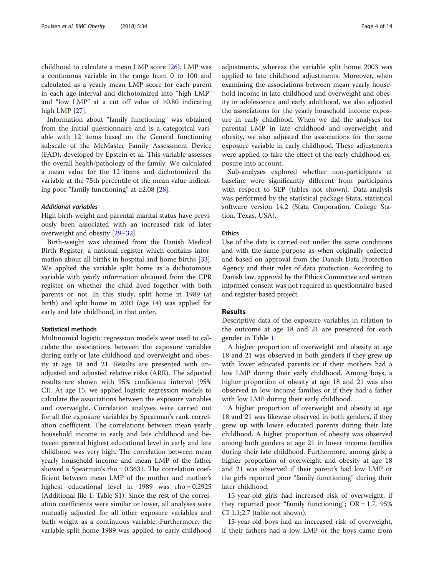childhood to calculate a mean LMP score [[26\]](#page-13-0). LMP was a continuous variable in the range from 0 to 100 and calculated as a yearly mean LMP score for each parent in each age-interval and dichotomized into "high LMP" and "low LMP" at a cut off value of  $\geq 0.80$  indicating high LMP [[27\]](#page-13-0).

Information about "family functioning" was obtained from the initial questionnaire and is a categorical variable with 12 items based on the General functioning subscale of the McMaster Family Assessment Device (FAD), developed by Epstein et al. This variable assesses the overall health/pathology of the family. We calculated a mean value for the 12 items and dichotomized the variable at the 75th percentile of the mean value indicat-ing poor "family functioning" at ≥2.08 [\[28](#page-13-0)].

## Additional variables

High birth-weight and parental marital status have previously been associated with an increased risk of later overweight and obesity [[29](#page-13-0)–[32](#page-13-0)].

Birth-weight was obtained from the Danish Medical Birth Register; a national register which contains information about all births in hospital and home births [\[33](#page-13-0)]. We applied the variable split home as a dichotomous variable with yearly information obtained from the CPR register on whether the child lived together with both parents or not. In this study, split home in 1989 (at birth) and split home in 2003 (age 14) was applied for early and late childhood, in that order.

## Statistical methods

Multinomial logistic regression models were used to calculate the associations between the exposure variables during early or late childhood and overweight and obesity at age 18 and 21. Results are presented with unadjusted and adjusted relative risks (ARR). The adjusted results are shown with 95% confidence interval (95% CI). At age 15, we applied logistic regression models to calculate the associations between the exposure variables and overweight. Correlation analyses were carried out for all the exposure variables by Spearman's rank correlation coefficient. The correlations between mean yearly household income in early and late childhood and between parental highest educational level in early and late childhood was very high. The correlation between mean yearly household income and mean LMP of the father showed a Spearman's rho = 0.3631. The correlation coefficient between mean LMP of the mother and mother's highest educational level in 1989 was rho = 0.2925 (Additional file [1:](#page-12-0) Table S1). Since the rest of the correlation coefficients were similar or lower, all analyses were mutually adjusted for all other exposure variables and birth weight as a continuous variable. Furthermore, the variable split home 1989 was applied to early childhood adjustments, whereas the variable split home 2003 was applied to late childhood adjustments. Moreover, when examining the associations between mean yearly household income in late childhood and overweight and obesity in adolescence and early adulthood, we also adjusted the associations for the yearly household income exposure in early childhood. When we did the analyses for parental LMP in late childhood and overweight and obesity, we also adjusted the associations for the same exposure variable in early childhood. These adjustments were applied to take the effect of the early childhood exposure into account.

Sub-analyses explored whether non-participants at baseline were significantly different from participants with respect to SEP (tables not shown). Data-analysis was performed by the statistical package Stata, statistical software version 14.2 (Stata Corporation, College Station, Texas, USA).

## **Ethics**

Use of the data is carried out under the same conditions and with the same purpose as when originally collected and based on approval from the Danish Data Protection Agency and their rules of data protection. According to Danish law, approval by the Ethics Committee and written informed consent was not required in questionnaire-based and register-based project.

## Results

Descriptive data of the exposure variables in relation to the outcome at age 18 and 21 are presented for each gender in Table [1](#page-4-0).

A higher proportion of overweight and obesity at age 18 and 21 was observed in both genders if they grew up with lower educated parents or if their mothers had a low LMP during their early childhood. Among boys, a higher proportion of obesity at age 18 and 21 was also observed in low income families or if they had a father with low LMP during their early childhood.

A higher proportion of overweight and obesity at age 18 and 21 was likewise observed in both genders, if they grew up with lower educated parents during their late childhood. A higher proportion of obesity was observed among both genders at age 21 in lower income families during their late childhood. Furthermore, among girls, a higher proportion of overweight and obesity at age 18 and 21 was observed if their parent's had low LMP or the girls reported poor "family functioning" during their later childhood.

15-year-old girls had increased risk of overweight, if they reported poor "family functioning";  $OR = 1.7$ ,  $95\%$ CI 1.1;2.7 (table not shown).

15-year-old boys had an increased risk of overweight, if their fathers had a low LMP or the boys came from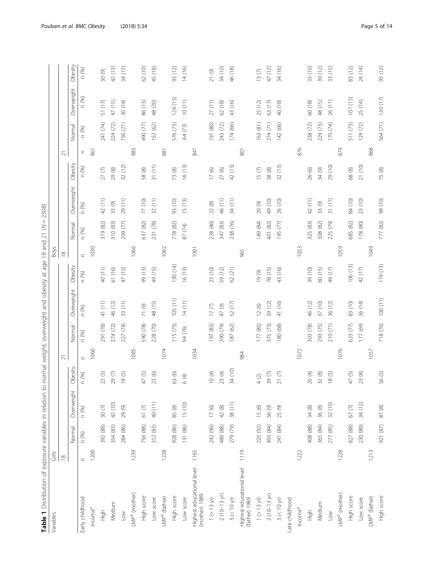| Ì<br>3<br>$\overline{\phantom{a}}$<br>Ó                  |
|----------------------------------------------------------|
| j<br>l<br>II                                             |
| j                                                        |
| Į                                                        |
| ١<br>ł<br>5<br>ł<br>í<br>ł                               |
|                                                          |
| J<br>j<br>j<br>$\overline{ }$<br>j<br>Ì<br>ŧ<br>ಕ        |
|                                                          |
| j<br>i<br>i<br>į<br>$\vec{c}$<br>١                       |
| ă<br>ļ<br>i<br>֖֦֧֦֧֦֧֚֚֚֚֚֚֚֚֚֚֚֚֚֚֚֚֡֡֡֡֡֡֡֡֬֡֡֡֬<br>I |
| I<br>į<br>$\frac{1}{2}$<br>$\mathcal{L}$<br>Č<br>j       |
| Č<br>$\frac{1}{2}$<br>ï                                  |
| j                                                        |
| j<br>5<br>$\overline{ }$<br>ë<br>j<br>١                  |
| rmal<br>$\frac{1}{2}$<br>I<br>$\frac{1}{2}$<br>Ś         |
| $\frac{1}{2}$                                            |
| j<br>١<br>J<br>Ĵ<br>j                                    |
| ļ                                                        |
| 3<br>i<br>I<br>;<br>l<br>í<br>IE/I<br>5<br>ξ             |
| .<br>په<br>j<br>1<br>Ï<br>١<br>i<br>j<br>l<br>1          |
| $\overline{)}$                                           |
| ١<br>ł<br>Ì                                              |
| i<br>ć<br>∖                                              |
| r                                                        |
| Table                                                    |

<span id="page-4-0"></span>

| Table 1 Distribution of exposure variables in relation to normal weight, overweight and obesity at age 18 and 21 (N = 2308) |                |          |            |                   |                   |          |            |          |                       |          |            |         |                 |               |            |         |
|-----------------------------------------------------------------------------------------------------------------------------|----------------|----------|------------|-------------------|-------------------|----------|------------|----------|-----------------------|----------|------------|---------|-----------------|---------------|------------|---------|
| Variables                                                                                                                   | Girls          |          |            |                   |                   |          |            |          | Boys                  |          |            |         |                 |               |            |         |
|                                                                                                                             | $\frac{8}{10}$ |          |            |                   | $\overline{\sim}$ |          |            |          | $\overset{\infty}{=}$ |          |            |         | $\overline{21}$ |               |            |         |
|                                                                                                                             |                | Normal   | Overweight | Obesity           |                   | Normal   | Overweight | Obesity  |                       | Normal   | Overweight | Obesity |                 | Normal        | Overweight | Obesity |
| Early childhood                                                                                                             | $\subset$      | n (%)    | n (%)      | n (%)             | $\subset$         | n (%)    | n (%)      | n (%)    | $\subset$             | n (%)    | n (%)      | n (%)   | $\subset$       | n (%)         | n (%)      | n (%)   |
| Income <sup>a</sup>                                                                                                         | 1200           |          |            |                   | 1060              |          |            |          | 1030                  |          |            |         | 861             |               |            |         |
| High                                                                                                                        |                | 392 (88) | $30~(7)$   | 22(5)             |                   | 291 (78) | 41 (11)    | 40 (11)  |                       | 319 (82) | 42 (11)    | $27(7)$ |                 | 241 (74)      | $57(17)$   | 30 (9)  |
| Medium                                                                                                                      |                | 354 (83) | 42 (10)    | 29(7)             |                   | 274 (72) | 46 (12)    | 61 (16)  |                       | 310 (83) | 33(9)      | 29(8)   |                 | 224 (72)      | 47 (15)    | 42 (13) |
| $\overline{\mathsf{Low}}$                                                                                                   |                | 284 (86) | 29(9)      | $18(5)$           |                   | 227 (74) | 33 (11)    | 47 (15)  |                       | 209 (77) | 29(11)     | 32 (12) |                 | 156 (71)      | 30 (14)    | 34 (15) |
| LMP <sup>b</sup> (mother)                                                                                                   | 1239           |          |            |                   | 1085              |          |            |          | 1066                  |          |            |         | 883             |               |            |         |
| High score                                                                                                                  |                | 756 (88) | 61 $(7)$   | 47(5)             |                   | 590 (78) | 71 (9)     | 99 (13)  |                       | 637 (82) | 77 (10)    | 58(8)   |                 | 490 (77)      | 86 (13)    | 62 (10) |
| Low score                                                                                                                   |                | 312 (83) | 40 (11)    | 23(6)             |                   | 228 (70) | 48 (15)    | 49 (15)  |                       | 231 (78) | 32(11)     | 31(11)  |                 | 152 (62)      | 48 (20)    | 45 (18) |
| LMP <sup>b</sup> (father)                                                                                                   | 1228           |          |            |                   | 1074              |          |            |          | 1062                  |          |            |         | 881             |               |            |         |
| High score                                                                                                                  |                | 928 (86) | 85 (8)     | 63(6)             |                   | 715 (75) | 105(11)    | 130 (14) |                       | 778 (82) | 93 (10)    | 73 (8)  |                 | 576 (73)      | 124(15)    | 93 (12) |
| Low score                                                                                                                   |                | 131 (86) | 15 (10)    | 6(4)              |                   | 94 (76)  | 14(11)     | 16(13)   |                       | 87 (74)  | 15(13)     | 16(13)  |                 | 64 (73)       | 10(11)     | 14 (16) |
| Highest educational level<br>(mother) 1989                                                                                  | 1165           |          |            |                   | 1034              |          |            |          | 1001                  |          |            |         | 841             |               |            |         |
| 1 (513 yr)                                                                                                                  |                | 242 (90) | 17(6)      | 10(4)             |                   | 197 (83) | 17(7)      | 23 (10)  |                       | 228 (86) | 22(8)      | 17(6)   |                 | 191 (80)      | 27(11)     | 21(9)   |
| $2(10-13yt)$                                                                                                                |                | 480 (88) | 42 (8)     | 23(4)             |                   | 390 (79) | 47 (9)     | 59 (12)  |                       | 347 (83) | 46(11)     | 27(6)   |                 | 243 (72)      | 62 (18)    | 34 (10) |
| $3 (< 10$ yr)                                                                                                               |                | 279 (79) | 38 (11)    | 34 (10)           |                   | 187 (62) | 52 (17)    | 62 (21)  |                       | 238 (76) | 34(11)     | 42 (13) |                 | 174 (66)      | 43 (16)    | 46 (18) |
| Highest educational level<br>(father) 1989                                                                                  | 1119           |          |            |                   | 984               |          |            |          | 965                   |          |            |         | 801             |               |            |         |
| 1 ( > 13 yr)                                                                                                                |                | 225 (92) | 15(6)      | 4(2)              |                   | 177 (85) | 12(6)      | $(6)$ 61 |                       | 189 (84) | 20(9)      | 15(7)   |                 | 163 (81)      | 25 (12)    | 13(7)   |
| $2(10-13 \text{ yr})$                                                                                                       |                | 493 (84) | 56 (9)     | 39 <sub>(7)</sub> |                   | 375 (73) | 59 (12)    | 78 (15)  |                       | 401 (82) | 49 (10)    | 38(8)   |                 | 274 (71)      | 63 (17)    | 47 (12) |
| $3 (< 10$ yr)                                                                                                               |                | 241 (84) | 25(9)      | $21\,(7)$         |                   | 180 (68) | 41 (16)    | 43 (16)  |                       | 195 (77) | 26 (10)    | 32(13)  |                 | 142 (66)      | 40 (18)    | 34 (16) |
| Late childhood                                                                                                              |                |          |            |                   |                   |          |            |          |                       |          |            |         |                 |               |            |         |
| Income <sup>a</sup>                                                                                                         | 1222           |          |            |                   | 1072              |          |            |          | 1053                  |          |            |         | 876             |               |            |         |
| $\frac{1}{2}$                                                                                                               |                | 408 (88) | 34 (8)     | 20(4)             |                   | 303 (78) | 46 (12)    | 39 (10)  |                       | 325 (83) | 42 (11)    | 26(6)   |                 | 238 (72)      | 60 (18)    | 33 (10) |
| Medium                                                                                                                      |                | 365 (84) | 36 (8)     | $32(8)$           |                   | 293 (75) | 37(10)     | 60 (15)  |                       | 308 (82) | 33(9)      | 34(9)   |                 | 229 (73)      | 48 (15)    | 39 (12) |
| Low                                                                                                                         |                | 277 (85) | 32(10)     | $18(5)$           |                   | 210 (71) | 36 (12)    | 49 (17)  |                       | 225 (79) | 31(11)     | 29 (10) |                 | 170 (74)      | 26 (11)    | 33 (15) |
| LMP <sup>b</sup> (mother)                                                                                                   | 1228           |          |            |                   | 1076              |          |            |          | 1059                  |          |            |         | 879             |               |            |         |
| High score                                                                                                                  |                | 827 (88) | 67(7)      | 47(5)             |                   | 633 (77) | 83 (10)    | 106(13)  |                       | 585 (82) | 84 (10)    | 68(8)   |                 | 511 (73)      | 107(15)    | 83 (12) |
| Low score                                                                                                                   |                | 230 (80) | 34 (12)    | 23(8)             |                   | 177 (69) | 36 (14)    | 42 (17)  |                       | 178 (80) | 23 (10)    | 21(10)  |                 | $(72)$<br>129 | 25 (14)    | 24 (14) |
| LMP <sup>b</sup> (father)                                                                                                   | 1213           |          |            |                   | 1057              |          |            |          | 1049                  |          |            |         | 868             |               |            |         |
| High score                                                                                                                  |                | 921 (87) | $87\ (8)$  | 56(5)             |                   | 718 (76) | 100(11)    | 119(13)  |                       | 777 (82) | 99 (10)    | 75 (8)  |                 | 564 (71)      | 130 (17)   | 95 (12) |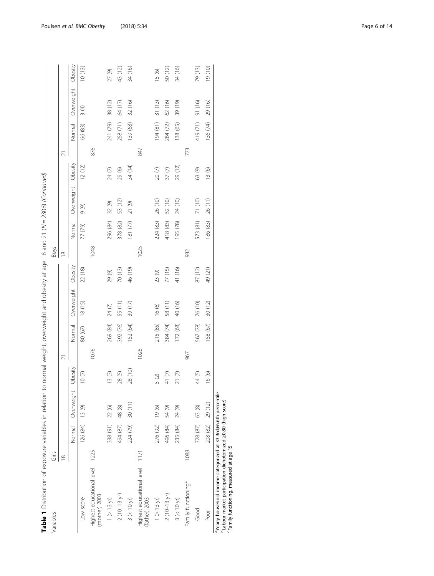| i<br>j<br>5<br>١                                                                                                    |
|---------------------------------------------------------------------------------------------------------------------|
| Ì<br>Í<br>ί                                                                                                         |
| ï<br>j<br>I<br>II                                                                                                   |
| Z                                                                                                                   |
| Į<br>Ó                                                                                                              |
| j<br>٩<br>۶<br>l                                                                                                    |
| j<br>j<br>$\overline{a}$<br>֦֧֧֧֦֧֦֧֦֦֪֦֧֦֧֦֪֪֦֝֟֟֟֟֓֕֝֟֟֓֕֓֕֓֕֓֕֓֕֓֕֓֝֓֟֓֟֓֟֓֟֓֟֓֟֓֟֓֟֓֟֓֟֓֟֓֟֓֟֓֟֓֟֟֓֟֟֟֓֟֟֟<br>ž |
| ١                                                                                                                   |
| ١<br>ā                                                                                                              |
| Ì<br>١<br>Ì<br>l<br>ï<br>į<br>$\geq$                                                                                |
| i<br>Č<br>١<br>l<br>ś<br>:                                                                                          |
| j<br>$\frac{1}{2}$<br>ī<br>į<br>i<br>ļ                                                                              |
| $\overline{\phantom{a}}$                                                                                            |
| i<br>i<br>ī<br>i<br>l<br>֖֖֖֖֖֪֪ׅ֪֪֪ׅ֖֪֪֪֪֦֪֪֪֪֦֪֪֪֛֚֚֚֚֚֚֚֚֚֚֚֚֚֚֚֬֝֝֝֝֝<br>I                                      |
| $\epsilon$<br>í                                                                                                     |
| ł<br>١<br>i.<br>ļ<br>5                                                                                              |
| 1<br>⊆<br>١<br>۱<br>᠈                                                                                               |
| i<br>۱<br>i<br>$\overline{a}$<br>i<br>ļ                                                                             |
| ١<br>Ò<br>í                                                                                                         |
| i<br>$\mathfrak{a}$<br>١                                                                                            |
| d<br>$\frac{1}{2}$                                                                                                  |

| Table 1 Distribution of exposure variables in relation to                                                                                                                                       |                         |          |                 |                   |              |          | normal weight, overweight and obesity at age 18 and 21 (N = 2308) (Continued) |         |                         |          |            |         |                   |          |            |         |
|-------------------------------------------------------------------------------------------------------------------------------------------------------------------------------------------------|-------------------------|----------|-----------------|-------------------|--------------|----------|-------------------------------------------------------------------------------|---------|-------------------------|----------|------------|---------|-------------------|----------|------------|---------|
| Variables                                                                                                                                                                                       | Girls                   |          |                 |                   |              |          |                                                                               |         | <b>Boys</b>             |          |            |         |                   |          |            |         |
|                                                                                                                                                                                                 | $\frac{\infty}{\infty}$ |          |                 |                   | $\bar{\sim}$ |          |                                                                               |         | $\frac{\infty}{\infty}$ |          |            |         | $\overline{\sim}$ |          |            |         |
|                                                                                                                                                                                                 |                         | Normal   | Overweight      | Obesity           |              | Normal   | Overweight                                                                    | Obesity |                         | Normal   | Overweight | Obesity |                   | Normal   | Overweight | Obesity |
| Low score                                                                                                                                                                                       |                         |          | $126(84)$ 13(9) | 10(7)             |              | 80 (67)  | 18(15)                                                                        | 22 (18) |                         | 77 (79)  | (6)        | 12(12)  |                   | 66 (83)  | 3(4)       | 10(13)  |
| Highest educational level 1225<br>(mother) 2003                                                                                                                                                 |                         |          |                 |                   | 1076         |          |                                                                               |         | 1048                    |          |            |         | 876               |          |            |         |
| $1 ( > 13 \text{ yr})$                                                                                                                                                                          |                         | 338 (91) | 22(6)           | 13(3)             |              | 269 (84) | 24 <sub>(7)</sub>                                                             | 29(9)   |                         | 296 (84) | 32(9)      | 24(7)   |                   | 241 (79) | 38 (12)    | 27(9)   |
| $2(10-13 \text{ yr})$                                                                                                                                                                           |                         | 494 (87) | 48 (8)          | 28(5)             |              | 392 (76) | 55 (11)                                                                       | 70 (13) |                         | 378 (82) | 53 (12)    | 29(6)   |                   | 258 (71) | 64 (17)    | 43 (12) |
| $3 (< 10$ yr)                                                                                                                                                                                   |                         | 224 (79) | 30(11)          | 28 (10)           |              | 152 (64) | 39 (17)                                                                       | 46 (19) |                         | 181 (77) | 21(9)      | 34 (14) |                   | 139 (68) | 32 (16)    | 34 (16) |
| Highest educational level 1171<br>(father) 2003                                                                                                                                                 |                         |          |                 |                   | 1026         |          |                                                                               |         | 1025                    |          |            |         | 847               |          |            |         |
| $1 ( > 13 \text{ yr})$                                                                                                                                                                          |                         | 276 (92) | 19(6)           | 5(2)              |              | 215 (85) | 16(6)                                                                         | 23(9)   |                         | 224 (83) | 26 (10)    | 20(7)   |                   | 194(81)  | 31(13)     | 15 (6)  |
| $2(10-13 \text{ yr})$                                                                                                                                                                           |                         | 496 (84) | 54 (9)          | 41 <sub>(7)</sub> |              | 384 (74) | 58 (11)                                                                       | 77 (15) |                         | 418 (83) | 52 (10)    | 37(7)   |                   | 284 (72) | 62 (16)    | 50 (12) |
| $3 (< 10$ yr)                                                                                                                                                                                   |                         | 235 (84) | 24 (9)          | 21(7)             |              | 172 (68) | 40 (16)                                                                       | 41 (16) |                         | 195 (78) | 24 (10)    | 29 (12) |                   | 138 (65) | 39 (19)    | 34 (16) |
| Family functioning <sup>c</sup>                                                                                                                                                                 | 1088                    |          |                 |                   | 967          |          |                                                                               |         | 932                     |          |            |         | 773               |          |            |         |
| Good                                                                                                                                                                                            |                         |          | 728 (87) 63 (8) | 44(5)             |              | 567 (78) | 76 (10)                                                                       | 87 (12) |                         | 573 (81) | 71 (10)    | 63(9)   |                   | 419 (71) | 91 (16)    | 79 (13) |
| Poor                                                                                                                                                                                            |                         | 208 (82) | 29 (12)         | 16(6)             |              | 158 (67) | 30 (12)                                                                       | 49 (21) |                         | 186 (83) | 26 (11)    | 13(6)   |                   | 136 (74) | 29 (16)    | 19(10)  |
| <sup>a</sup> Yearly household income categorized at 33.3rd;66.6th percentile<br>$b$ Labour market participation dichotomized $\geq$ 0.80 (high score)<br>Family functioning, measured at age 15 |                         |          |                 |                   |              |          |                                                                               |         |                         |          |            |         |                   |          |            |         |

Poulsen et al. BMC Obesity (2018) 5:34 Page 6 of 14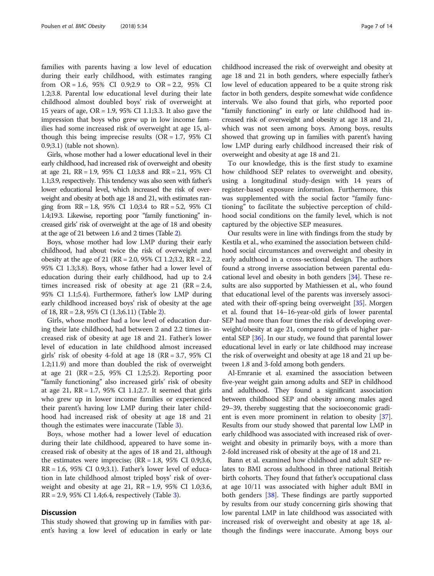families with parents having a low level of education during their early childhood, with estimates ranging from  $OR = 1.6$ , 95% CI 0.9;2.9 to  $OR = 2.2$ , 95% CI 1.2;3.8. Parental low educational level during their late childhood almost doubled boys' risk of overweight at 15 years of age, OR = 1.9, 95% CI 1.1;3.3. It also gave the impression that boys who grew up in low income families had some increased risk of overweight at age 15, although this being imprecise results  $(OR = 1.7, 95\% \text{ CI})$ 0.9;3.1) (table not shown).

Girls, whose mother had a lower educational level in their early childhood, had increased risk of overweight and obesity at age 21, RR = 1.9, 95% CI 1.0;3.8 and RR = 2.1, 95% CI 1.1;3.9, respectively. This tendency was also seen with father's lower educational level, which increased the risk of overweight and obesity at both age 18 and 21, with estimates ranging from  $RR = 1.8$ , 95% CI 1.0;3.4 to  $RR = 5.2$ , 95% CI 1.4;19.3. Likewise, reporting poor "family functioning" increased girls' risk of overweight at the age of 18 and obesity at the age of 21 between 1.6 and 2 times (Table [2\)](#page-7-0).

Boys, whose mother had low LMP during their early childhood, had about twice the risk of overweight and obesity at the age of 21 (RR = 2.0, 95% CI 1.2;3.2, RR = 2.2, 95% CI 1.3;3.8). Boys, whose father had a lower level of education during their early childhood, had up to 2.4 times increased risk of obesity at age 21 (RR = 2.4, 95% CI 1.1;5.4). Furthermore, father's low LMP during early childhood increased boys' risk of obesity at the age of 18, RR = 2.8, 95% CI (1.3;6.11) (Table [2](#page-7-0)).

Girls, whose mother had a low level of education during their late childhood, had between 2 and 2.2 times increased risk of obesity at age 18 and 21. Father's lower level of education in late childhood almost increased girls' risk of obesity 4-fold at age 18 (RR = 3.7, 95% CI 1.2;11.9) and more than doubled the risk of overweight at age 21 (RR = 2.5, 95% CI 1.2;5.2). Reporting poor "family functioning" also increased girls' risk of obesity at age 21,  $RR = 1.7$ , 95% CI 1.1;2.7. It seemed that girls who grew up in lower income families or experienced their parent's having low LMP during their later childhood had increased risk of obesity at age 18 and 21 though the estimates were inaccurate (Table [3\)](#page-9-0).

Boys, whose mother had a lower level of education during their late childhood, appeared to have some increased risk of obesity at the ages of 18 and 21, although the estimates were imprecise;  $(RR = 1.8, 95\% \text{ CI } 0.9;3.6,$  $RR = 1.6$ , 95% CI 0.9;3.1). Father's lower level of education in late childhood almost tripled boys' risk of overweight and obesity at age 21,  $RR = 1.9$ , 95% CI 1.0;3.6, RR = 2.9, 95% CI 1.4;6.4, respectively (Table [3\)](#page-9-0).

## **Discussion**

This study showed that growing up in families with parent's having a low level of education in early or late

childhood increased the risk of overweight and obesity at age 18 and 21 in both genders, where especially father's low level of education appeared to be a quite strong risk factor in both genders, despite somewhat wide confidence intervals. We also found that girls, who reported poor "family functioning" in early or late childhood had increased risk of overweight and obesity at age 18 and 21, which was not seen among boys. Among boys, results showed that growing up in families with parent's having low LMP during early childhood increased their risk of overweight and obesity at age 18 and 21.

To our knowledge, this is the first study to examine how childhood SEP relates to overweight and obesity, using a longitudinal study-design with 14 years of register-based exposure information. Furthermore, this was supplemented with the social factor "family functioning" to facilitate the subjective perception of childhood social conditions on the family level, which is not captured by the objective SEP measures.

Our results were in line with findings from the study by Kestila et al., who examined the association between childhood social circumstances and overweight and obesity in early adulthood in a cross-sectional design. The authors found a strong inverse association between parental educational level and obesity in both genders [\[34](#page-13-0)]. These results are also supported by Mathiessen et al., who found that educational level of the parents was inversely associated with their off-spring being overweight [\[35\]](#page-13-0). Morgen et al. found that 14–16-year-old girls of lower parental SEP had more than four times the risk of developing overweight/obesity at age 21, compared to girls of higher parental SEP [\[36\]](#page-13-0). In our study, we found that parental lower educational level in early or late childhood may increase the risk of overweight and obesity at age 18 and 21 up between 1.8 and 3-fold among both genders.

Al-Emranie et al. examined the association between five-year weight gain among adults and SEP in childhood and adulthood. They found a significant association between childhood SEP and obesity among males aged 29–39, thereby suggesting that the socioeconomic gradient is even more prominent in relation to obesity [[37](#page-13-0)]. Results from our study showed that parental low LMP in early childhood was associated with increased risk of overweight and obesity in primarily boys, with a more than 2-fold increased risk of obesity at the age of 18 and 21.

Bann et al. examined how childhood and adult SEP relates to BMI across adulthood in three national British birth cohorts. They found that father's occupational class at age 10/11 was associated with higher adult BMI in both genders [\[38](#page-13-0)]. These findings are partly supported by results from our study concerning girls showing that low parental LMP in late childhood was associated with increased risk of overweight and obesity at age 18, although the findings were inaccurate. Among boys our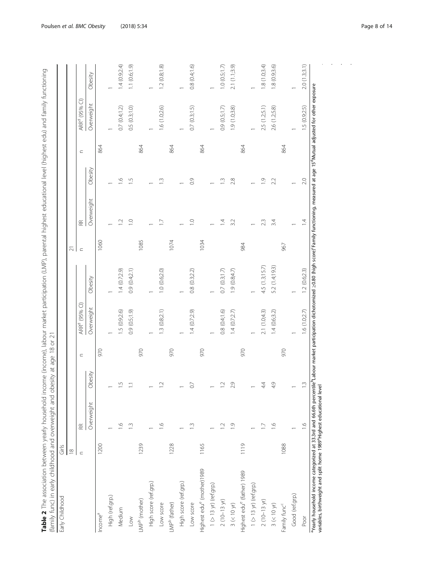<span id="page-7-0"></span>

| א<br>נובע<br>$\overline{ }$<br>)<br>$\sim$ the positive in the $\sim$<br>$\overline{1}$<br>י המונח לביל בין המונח להולד להתמונה להיות המונח לא<br>. AP) ranatal hirbot and innified and in the change of a<br>- 1-1-1-1-2 プリュリー・アニー・ファーリース ユーニ ニューコン ・・リットス アー・・・ |                                                                                                                                         |  |
|-------------------------------------------------------------------------------------------------------------------------------------------------------------------------------------------------------------------------------------------------------------------|-----------------------------------------------------------------------------------------------------------------------------------------|--|
| " Income (Income) Ishour market naticination !!<br> <br> <br> <br> <br> <br> <br> <br> <br> <br>ׇׇ֓֡<br>van イフェリスフェル、フェリスフェル<br>₹<br>$\ddot{\phantom{0}}$<br>5<br>;<br>j<br>$\sim$<br>¢                                                                           | $\mathbf{I}$<br>)<br>こりりょう<br>こくぐく<br>j<br>¢<br>¢<br>Ì<br>١<br>j<br>くこくこ<br>Ļ<br>s<br>C<br>j<br>ī<br>$\sim$ $\sim$ $\sim$ $\sim$ $\sim$ |  |

| Early Childhood                                                                                                                                                                                                                                                                   | Girls                   |                |         |           |                           |                |                   |                       |                |           |                           |               |
|-----------------------------------------------------------------------------------------------------------------------------------------------------------------------------------------------------------------------------------------------------------------------------------|-------------------------|----------------|---------|-----------|---------------------------|----------------|-------------------|-----------------------|----------------|-----------|---------------------------|---------------|
|                                                                                                                                                                                                                                                                                   | $\frac{\infty}{\infty}$ |                |         |           |                           |                | $\overline{\sim}$ |                       |                |           |                           |               |
|                                                                                                                                                                                                                                                                                   | $\subset$               | $\mathbb R$    |         | $\subset$ | ARR <sup>d</sup> (95% CI) |                | $\subset$         | $\mathbb R$           |                | $\subset$ | ARR <sup>d</sup> (95% CI) |               |
|                                                                                                                                                                                                                                                                                   |                         | Overweight     | Obesity |           | Overweight                | Obesity        |                   | Overweight            | Obesity        |           | Overweight                | Obesity       |
| ncome <sup>a</sup>                                                                                                                                                                                                                                                                | 1200                    |                |         | 970       |                           |                | 1060              |                       |                | 864       |                           |               |
| High (ref.grp.)                                                                                                                                                                                                                                                                   |                         |                |         |           |                           |                |                   |                       |                |           |                           |               |
| Medium                                                                                                                                                                                                                                                                            |                         | $\overline{6}$ | LŊ.     |           | .5(0.9,2.6)               | 1.4(0.7;2.9)   |                   | $\tilde{\phantom{a}}$ | $\frac{6}{1}$  |           | 0.7(0.4;1.2)              | 1.4(0.9,2.4)  |
| Low                                                                                                                                                                                                                                                                               |                         | $\tilde{=}$    |         |           | 0.9(0.5;1.9)              | 0.9(0.4, 2.1)  |                   | $\supseteq$           | $\frac{5}{1}$  |           | 0.5(0.3;1.0)              | 1.1(0.6, 1.9) |
| LMP <sup>b</sup> (mother)                                                                                                                                                                                                                                                         | 1239                    |                |         | 970       |                           |                | 1085              |                       |                | 864       |                           |               |
| High score (ref.grp.)                                                                                                                                                                                                                                                             |                         |                |         |           |                           |                |                   |                       |                |           |                           |               |
| Low score                                                                                                                                                                                                                                                                         |                         | $\frac{6}{1}$  | $\sim$  |           | .3(0.8,2.1)               | 1.0 (0.6, 2.0) |                   | $\overline{1}$        | $\tilde{=}$    |           | 1.6(1.0;2.6)              | 2(0.8, 1.8)   |
| LMP <sup>b</sup> (father)                                                                                                                                                                                                                                                         | 1228                    |                |         | 970       |                           |                | 1074              |                       |                | 864       |                           |               |
| High score (ref.grp.)                                                                                                                                                                                                                                                             |                         |                |         |           |                           |                |                   |                       |                |           |                           |               |
| Low score                                                                                                                                                                                                                                                                         |                         | Ŵ.             | Ŋ       |           | 1.4(0.7,2.9)              | 0.8(0.3;2.2)   |                   | $\supseteq$           | $\frac{6}{2}$  |           | 0.7(0.3; 1.5)             | 0.8(0.4, 1.6) |
| Highest edu <sup>e</sup> (mother)1989                                                                                                                                                                                                                                             | 1165                    |                |         | 970       |                           |                | 1034              |                       |                | 864       |                           |               |
| $1 (> 13$ yr) (ref.grp.)                                                                                                                                                                                                                                                          |                         |                |         |           |                           |                |                   |                       |                |           |                           |               |
| $2(10-13 \text{ yr})$                                                                                                                                                                                                                                                             |                         | Ņ              | Ņ       |           | 0.8(0.4, 1.6)             | 0.7(0.3, 1.7)  |                   | $\overline{4}$        | $\tilde{=}$    |           | 0.9(0.5;1.7)              | 1.0(0.5;1.7)  |
| $3 (< 10$ yr)                                                                                                                                                                                                                                                                     |                         | $\overline{0}$ | O,      |           | 1.4(0.7;2.7)              | 1.9(0.8, 4.7)  |                   | 3.2                   | 2.8            |           | 1.9(1.0, 3.8)             | 2.1 (1.1;3.9) |
| Highest edu <sup>e</sup> (father) 1989                                                                                                                                                                                                                                            | 1119                    |                |         | 970       |                           |                | 984               |                       |                | 864       |                           |               |
| $1 (> 13$ yr) (ref.grp.)                                                                                                                                                                                                                                                          |                         |                |         |           |                           |                |                   |                       |                |           |                           |               |
| $2(10-13 \text{ yr})$                                                                                                                                                                                                                                                             |                         | Ņ              | 4       |           | 2.1 (1.0;4.3)             | 4.5 (1.3;15.7) |                   | 23                    | $\overline{0}$ |           | 2.5 (1.2;5.1)             | 1.8(1.0, 3.4) |
| 3 (< 10 yr)                                                                                                                                                                                                                                                                       |                         | $\frac{8}{1}$  | O,      |           | 1.4(0.6;3.2)              | 5.2 (1.4;19.3) |                   | 3.4                   | 2.2            |           | 2.6 (1.2;5.8)             | 1.8(0.9, 3.6) |
| Family func <sup>c</sup>                                                                                                                                                                                                                                                          | 1088                    |                |         | 970       |                           |                | 967               |                       |                | 864       |                           |               |
| Good (ref.grp.)                                                                                                                                                                                                                                                                   |                         |                |         |           |                           |                |                   |                       |                |           |                           |               |
| Poor                                                                                                                                                                                                                                                                              |                         | $\frac{6}{1}$  | Ċ.      |           | 1.6(1.02.7)               | 12(0.6;2.3)    |                   | $\overline{4}$        | 2.0            |           | 1.5(0.9;2.5)              | 2.0(1.3,3.1)  |
| "Yearly household income categorized at 33.3rd and 66.6th percentile Labour market participation dichotomized 20.80 (high score) Family functioning, measured at age 15"Mutual adjusted for other exposure<br>variables, birthweight and split home 1989°Highest educational leve |                         |                |         |           |                           |                |                   |                       |                |           |                           |               |
|                                                                                                                                                                                                                                                                                   |                         |                |         |           |                           |                |                   |                       |                |           |                           |               |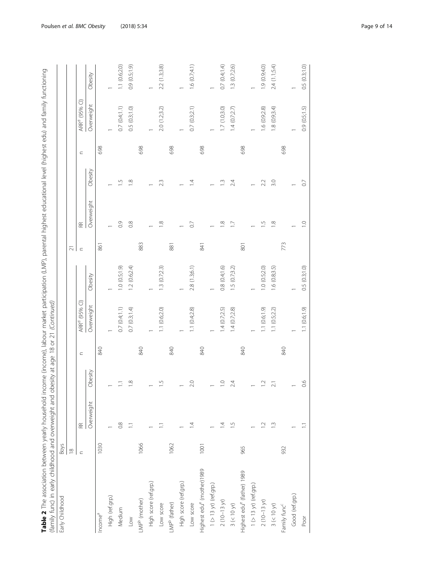| ひところにする ニキュニュー こうりょう こうりょう<br>$\overline{ }$<br>J<br>١<br>じょうりこ<br>$\frac{1}{2}$<br>)<br>5<br>5<br>5<br>$\ddot{\cdot}$<br>i<br>どり リーリー・<br>)<br>)<br>)<br>)<br>)<br> ה#המיה היה ה<br>ļ<br>J                  |                                                                                                                                                                                            |  |
|--------------------------------------------------------------------------------------------------------------------------------------------------------------------------------------------------------------|--------------------------------------------------------------------------------------------------------------------------------------------------------------------------------------------|--|
| incredit linguism in an in our result in the component of the linguism of the component of the compo<br>j<br>į<br>١<br>$\ddot{\phantom{0}}$<br>l<br>$\overline{\phantom{a}}$<br>j<br>j<br>j<br>$\frac{1}{2}$ | ׇ֚֘֝֬<br>()<br>ことこの<br>-<br><<br><<br>J<br>5<br>2<br>2<br>2<br>$\frac{1}{2}$<br>l<br>ׇׇ֠֕֡<br>֦֦֦֚֚֚֚֚֚֚֚֚֬֝֝֝֝֝֝֝֝֝֝֝֝֝֝֝֝<br>֧֪֪֪֪֝֝֝֝֝֝<br>،<br>ہ<br>$\frac{1}{1}$<br>i<br>5)<br>;<br>; |  |

| (All July Jake Jack July John Jack Jack July Liver Autory<br>Early Childhood | Boys                    |                                |                   |           |                           |                |                 |                  |                |           |                           |               |
|------------------------------------------------------------------------------|-------------------------|--------------------------------|-------------------|-----------|---------------------------|----------------|-----------------|------------------|----------------|-----------|---------------------------|---------------|
|                                                                              | $\frac{\infty}{\infty}$ |                                |                   |           |                           |                | $\overline{21}$ |                  |                |           |                           |               |
|                                                                              |                         | $\underset{\text{R}}{\approx}$ |                   | $\subset$ | ARR <sup>d</sup> (95% CI) |                | $\subset$       | Æ                |                | $\subset$ | ARR <sup>d</sup> (95% CI) |               |
|                                                                              |                         | Overweight                     | Obesity           |           | Overweight                | Obesity        |                 | Overweight       | Obesity        |           | Overweight                | Obesity       |
| Income <sup>a</sup>                                                          | 1030                    |                                |                   | 840       |                           |                | 861             |                  |                | 698       |                           |               |
| High (ref.grp.)                                                              |                         |                                |                   |           |                           |                |                 |                  |                |           |                           |               |
| Medium                                                                       |                         | $\frac{8}{2}$                  | $\Xi$             |           | 0.7(0.4, 1.1)             | 1.0 (0.5; 1.9) |                 | $\frac{6}{2}$    | L)             |           | 0.7(0.4, 1.1)             | 1.1(0.6,2.0)  |
| Low                                                                          |                         | Ξ                              | $\frac{8}{18}$    |           | 0.7(0.3, 1.4)             | 1.2(0.6;2.4)   |                 | $\frac{8}{2}$    | $\frac{8}{1}$  |           | 0.5(0.3;1.0)              | 0.9(0.5, 1.9) |
| LMP <sup>b</sup> (mother)                                                    | 1066                    |                                |                   | 840       |                           |                | 883             |                  |                | 698       |                           |               |
| High score (ref.grp.)                                                        |                         |                                |                   |           |                           |                |                 |                  |                |           |                           |               |
| Low score                                                                    |                         | $\Xi$                          | 1.5               |           | 1.1(0.6;2.0)              | 3(0.7;2.3)     |                 | $\leq$           | 23             |           | 2.0(1.2,3.2)              | 2.2(1.3;3.8)  |
| LMP <sup>b</sup> (father)                                                    | 1062                    |                                |                   | 840       |                           |                | 881             |                  |                | 698       |                           |               |
| High score (ref.grp.)                                                        |                         |                                |                   |           |                           |                |                 |                  |                |           |                           |               |
| Low score                                                                    |                         | $\overline{4}$                 | 2.0               |           | 1.1(0.4, 2.8)             | 2.8 (1.3;6.1)  |                 | $\overline{0}$ . | $\overline{4}$ |           | 0.7(0.3;2.1)              | 1.6(0.74.1)   |
| Highest edu <sup>e</sup> (mother)1989                                        | 1001                    |                                |                   | 840       |                           |                | 841             |                  |                | 698       |                           |               |
| $1$ (> 13 yr) (ref.grp.)                                                     |                         |                                |                   |           |                           |                |                 |                  |                |           |                           |               |
| $2(10-13 \text{ yr})$                                                        |                         | 츠                              | $\overline{1}$ .0 |           | 1.4(0.7;2.5)              | 0.8(0.4, 1.6)  |                 | œ                | نى             |           | 1.7(1.0;3.0)              | 0.7(0.4, 1.4) |
| $3 < 10$ yr)                                                                 |                         | S.                             | 2.4               |           | 1.4(0.7;2.8)              | 1.5(0.7;3.2)   |                 | $\overline{1}$   | 24             |           | 1.4 (0.7;2.7)             | 1.3(0.7,2.6)  |
| Highest edu <sup>e</sup> (father) 1989                                       | 965                     |                                |                   | 840       |                           |                | 801             |                  |                | 698       |                           |               |
| $1$ (> 13 yr) (ref.grp.)                                                     |                         |                                |                   |           |                           |                |                 |                  |                |           |                           |               |
| $2(10-13 \text{ yr})$                                                        |                         | $\overline{12}$                | $\overline{1}$ .  |           | 1.1(0.6;1.9)              | 1.0 (0.5, 2.0) |                 | L,               | 22             |           | .6(0.9, 2.8)              | (0.9, 0.0)    |
| $3 (< 10$ yr)                                                                |                         | $\tilde{=}$                    | $\overline{21}$   |           | 1.1(0.5;2.2)              | 1.6(0.8;3.5)   |                 | œ                | 3.0            |           | 1.8(0.9, 3.4)             | 2.4(1.1,5.4)  |
| Family func <sup>c</sup>                                                     | 932                     |                                |                   | 840       |                           |                | 773             |                  |                | 698       |                           |               |
| Good (ref.grp.)                                                              |                         |                                |                   |           |                           |                |                 |                  |                |           |                           |               |
| Poor                                                                         |                         | Ξ                              | 0.6               |           | 1.1(0.6; 1.9)             | 0.5(0.3;1.0)   |                 | $\supseteq$      | $\overline{O}$ |           | 0.9(0.5; 1.5)             | 0.5(0.3, 1.0) |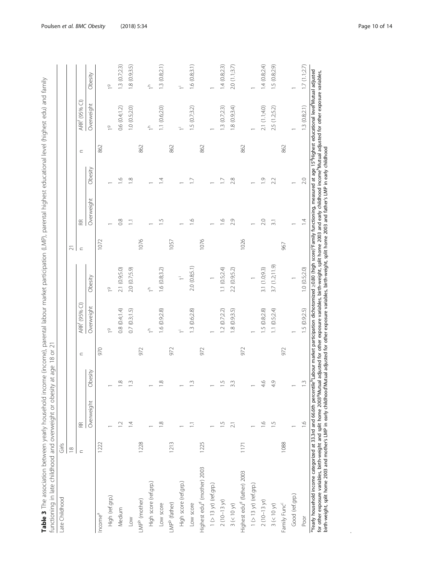<span id="page-9-0"></span>

| $-1$<br>ī<br>$\frac{1}{2}$<br>Ś<br>j<br>j<br>$\frac{1}{2}$<br>֦֦֦֦֦֦֦֦֦֦֧֦֧֦֧֦֧֦֧֦֦֦֧֦֧֦֧֦֧֦֧֦֧֦֧֦֧֧֦֧֦֧֩֩֩֩֩֩֩֩֩֓֝֘֝֘֝֘֝֝֘֝֘֝֘֝֝֝֬֝֓֞֝֞֝֘֜֜<br>֧֧֧֧֧֧֧֧֧֧֧֦֧֧֧֦֧֦֧֧֛֚֝֘֘֜֘֜֘֜֜<br>J<br>)<br>)<br> <br>$-129 - 219 - 219 - 219$<br>$\frac{5}{1}$<br>j<br>j<br>h c + c   c   c   c + c + c c  <br>5)<br>)<br>-<br>$\frac{5}{1}$<br>١ |                                                                                                                                                       |
|-------------------------------------------------------------------------------------------------------------------------------------------------------------------------------------------------------------------------------------------------------------------------------------------------------------------------------------|-------------------------------------------------------------------------------------------------------------------------------------------------------|
| j<br>$\ddot{\bm{\zeta}}$<br>Í<br>$\vdots$<br>$\frac{1}{2}$<br>こうしょくしょく もくさんしょう<br>$\ddot{\phantom{a}}$                                                                                                                                                                                                                              |                                                                                                                                                       |
| I parantal labou<br>j<br>ĺ.<br>undid income (income<br>Ī<br>$\overline{\phantom{a}}$<br><u>יי</u><br>$\frac{5}{1}$<br>ha Tha sccoriation botwoor<br>)<br>;<br>;<br>$\frac{1}{2}$<br> <br> <br> <br> <br> <br>                                                                                                                       | $\overline{a}$<br>d<br>م 2017 م.<br>+<br>Ì.<br>Ξ<br>くていにも<br>יכל<br>$\overline{\phantom{a}}$<br>i<br>j<br>ミクごろ てりってりり<br>5<br>:<br>;<br>;<br>) ;<br>J |

| $\overline{C}$<br>$\frac{1}{\tau}$<br>ARR <sup>†</sup> (95% CI)<br>Overweight<br>1.3(0.8,2.1)<br>1.0 (0.5, 2.0)<br>1.8(0.9,3.4)<br>0.6(0.4, 1.2)<br>1.1 (0.6;2.0)<br>1.5(0.7;3.2)<br>1.3(0.7, 2.3)<br>2.1 (1.1/4.0)<br>2.5 (1.2;5.2)<br>$\overline{\mathbf{r}}$<br>$\overline{C}$<br>862<br>862<br>862<br>862<br>862<br>862<br>$\subset$<br>Obesity<br>2.0<br>$\circ$<br>2.8<br>Ο.<br>$\frac{\infty}{\infty}$<br>4.<br>L.<br>2.2<br>Ņ<br>Overweight<br>$\frac{6}{1}$<br>2.9<br>2.0<br>$\frac{8}{2}$<br>$\frac{5}{1}$<br>$\frac{6}{1}$<br>$\overline{4}$<br>Æ<br>Ξ<br>$\overline{31}$<br>1076<br>1076<br>1026<br>1072<br>1057<br>967<br>$\overline{2}1$<br>$\subset$<br>3.7(1.2,11.9)<br>2.0 (0.8;5.1)<br>2.1 (0.9;5.0)<br>2.0 (0.7;5.9)<br>1.1 (0.5;2.4)<br>2.2 (0.9;5.2)<br>3.1(1.0, 9.3)<br>1.6(0.8,3.2)<br>1.0(0.5;2.0)<br>Obesity<br>$\frac{1}{\tau}$<br>믿<br>ARR <sup>F</sup> (95% CI)<br>Overweight<br>0.8(0.4, 1.4)<br>5(0.9;2.5)<br>0.7(0.3;1.5)<br>1.6(0.9, 2.8)<br>.3(0.6;2.8)<br>.2(0.7;2.2)<br>.8(0.9,3.5)<br>.5(0.8, 2.8)<br>1.1(0.5, 2.4)<br>£,<br>믿<br>970<br>972<br>972<br>972<br>972<br>972<br>$\subset$<br>Obesity<br>4.6<br>œ<br>œ<br>49<br>ξ.<br>m<br>ŋ<br>3.3<br>$\tilde{=}$<br>Overweight<br>$\frac{\infty}{\infty}$<br>$\frac{6}{1}$<br>$\overline{9}$<br>4<br>LN.<br>Æ<br>1228<br>1213<br>1225<br>1088<br>1222<br>$\frac{171}{2}$<br>$\frac{8}{1}$<br>$\subset$<br>Highest edu <sup>d</sup> (mother) 2003<br>Highest edu <sup>d</sup> (father) 2003<br>High score (ref.grp.)<br>High score (ref.grp.)<br>$1 (> 13$ yr) (ref.grp.)<br>$1$ (> 13 yr) (ref.grp.)<br>Good (ref.grp.)<br>High (ref.grp.)<br>LMP <sup>b</sup> (mother)<br>$2(10-13 \text{ yr})$<br>$2(10-13 \text{ yr})$<br>Low score<br>LMP <sup>b</sup> (father)<br>$3 ( < 10 \text{ yr})$<br>Low score<br>Family Func <sup>c</sup><br>$3 (< 10$ yr)<br>Medium<br>Income <sup>a</sup><br>Low<br>Poor | Late Childhood | Girls |  |  |  |  |  |               |
|------------------------------------------------------------------------------------------------------------------------------------------------------------------------------------------------------------------------------------------------------------------------------------------------------------------------------------------------------------------------------------------------------------------------------------------------------------------------------------------------------------------------------------------------------------------------------------------------------------------------------------------------------------------------------------------------------------------------------------------------------------------------------------------------------------------------------------------------------------------------------------------------------------------------------------------------------------------------------------------------------------------------------------------------------------------------------------------------------------------------------------------------------------------------------------------------------------------------------------------------------------------------------------------------------------------------------------------------------------------------------------------------------------------------------------------------------------------------------------------------------------------------------------------------------------------------------------------------------------------------------------------------------------------------------------------------------------------------------------------------------------------------------------------------------------------------------------------------------------------------------------------|----------------|-------|--|--|--|--|--|---------------|
|                                                                                                                                                                                                                                                                                                                                                                                                                                                                                                                                                                                                                                                                                                                                                                                                                                                                                                                                                                                                                                                                                                                                                                                                                                                                                                                                                                                                                                                                                                                                                                                                                                                                                                                                                                                                                                                                                          |                |       |  |  |  |  |  |               |
|                                                                                                                                                                                                                                                                                                                                                                                                                                                                                                                                                                                                                                                                                                                                                                                                                                                                                                                                                                                                                                                                                                                                                                                                                                                                                                                                                                                                                                                                                                                                                                                                                                                                                                                                                                                                                                                                                          |                |       |  |  |  |  |  |               |
|                                                                                                                                                                                                                                                                                                                                                                                                                                                                                                                                                                                                                                                                                                                                                                                                                                                                                                                                                                                                                                                                                                                                                                                                                                                                                                                                                                                                                                                                                                                                                                                                                                                                                                                                                                                                                                                                                          |                |       |  |  |  |  |  | Obesity       |
|                                                                                                                                                                                                                                                                                                                                                                                                                                                                                                                                                                                                                                                                                                                                                                                                                                                                                                                                                                                                                                                                                                                                                                                                                                                                                                                                                                                                                                                                                                                                                                                                                                                                                                                                                                                                                                                                                          |                |       |  |  |  |  |  |               |
|                                                                                                                                                                                                                                                                                                                                                                                                                                                                                                                                                                                                                                                                                                                                                                                                                                                                                                                                                                                                                                                                                                                                                                                                                                                                                                                                                                                                                                                                                                                                                                                                                                                                                                                                                                                                                                                                                          |                |       |  |  |  |  |  |               |
|                                                                                                                                                                                                                                                                                                                                                                                                                                                                                                                                                                                                                                                                                                                                                                                                                                                                                                                                                                                                                                                                                                                                                                                                                                                                                                                                                                                                                                                                                                                                                                                                                                                                                                                                                                                                                                                                                          |                |       |  |  |  |  |  | 1.3(0.7;2.3)  |
|                                                                                                                                                                                                                                                                                                                                                                                                                                                                                                                                                                                                                                                                                                                                                                                                                                                                                                                                                                                                                                                                                                                                                                                                                                                                                                                                                                                                                                                                                                                                                                                                                                                                                                                                                                                                                                                                                          |                |       |  |  |  |  |  | 1.8(0.93.5)   |
|                                                                                                                                                                                                                                                                                                                                                                                                                                                                                                                                                                                                                                                                                                                                                                                                                                                                                                                                                                                                                                                                                                                                                                                                                                                                                                                                                                                                                                                                                                                                                                                                                                                                                                                                                                                                                                                                                          |                |       |  |  |  |  |  |               |
|                                                                                                                                                                                                                                                                                                                                                                                                                                                                                                                                                                                                                                                                                                                                                                                                                                                                                                                                                                                                                                                                                                                                                                                                                                                                                                                                                                                                                                                                                                                                                                                                                                                                                                                                                                                                                                                                                          |                |       |  |  |  |  |  |               |
|                                                                                                                                                                                                                                                                                                                                                                                                                                                                                                                                                                                                                                                                                                                                                                                                                                                                                                                                                                                                                                                                                                                                                                                                                                                                                                                                                                                                                                                                                                                                                                                                                                                                                                                                                                                                                                                                                          |                |       |  |  |  |  |  | 1.3(0.8,2.1)  |
|                                                                                                                                                                                                                                                                                                                                                                                                                                                                                                                                                                                                                                                                                                                                                                                                                                                                                                                                                                                                                                                                                                                                                                                                                                                                                                                                                                                                                                                                                                                                                                                                                                                                                                                                                                                                                                                                                          |                |       |  |  |  |  |  |               |
|                                                                                                                                                                                                                                                                                                                                                                                                                                                                                                                                                                                                                                                                                                                                                                                                                                                                                                                                                                                                                                                                                                                                                                                                                                                                                                                                                                                                                                                                                                                                                                                                                                                                                                                                                                                                                                                                                          |                |       |  |  |  |  |  |               |
|                                                                                                                                                                                                                                                                                                                                                                                                                                                                                                                                                                                                                                                                                                                                                                                                                                                                                                                                                                                                                                                                                                                                                                                                                                                                                                                                                                                                                                                                                                                                                                                                                                                                                                                                                                                                                                                                                          |                |       |  |  |  |  |  | 1.6(0.8,3.1)  |
|                                                                                                                                                                                                                                                                                                                                                                                                                                                                                                                                                                                                                                                                                                                                                                                                                                                                                                                                                                                                                                                                                                                                                                                                                                                                                                                                                                                                                                                                                                                                                                                                                                                                                                                                                                                                                                                                                          |                |       |  |  |  |  |  |               |
|                                                                                                                                                                                                                                                                                                                                                                                                                                                                                                                                                                                                                                                                                                                                                                                                                                                                                                                                                                                                                                                                                                                                                                                                                                                                                                                                                                                                                                                                                                                                                                                                                                                                                                                                                                                                                                                                                          |                |       |  |  |  |  |  |               |
|                                                                                                                                                                                                                                                                                                                                                                                                                                                                                                                                                                                                                                                                                                                                                                                                                                                                                                                                                                                                                                                                                                                                                                                                                                                                                                                                                                                                                                                                                                                                                                                                                                                                                                                                                                                                                                                                                          |                |       |  |  |  |  |  | 1.4(0.8,2.3)  |
|                                                                                                                                                                                                                                                                                                                                                                                                                                                                                                                                                                                                                                                                                                                                                                                                                                                                                                                                                                                                                                                                                                                                                                                                                                                                                                                                                                                                                                                                                                                                                                                                                                                                                                                                                                                                                                                                                          |                |       |  |  |  |  |  | 2.0 (1.1,3.7) |
|                                                                                                                                                                                                                                                                                                                                                                                                                                                                                                                                                                                                                                                                                                                                                                                                                                                                                                                                                                                                                                                                                                                                                                                                                                                                                                                                                                                                                                                                                                                                                                                                                                                                                                                                                                                                                                                                                          |                |       |  |  |  |  |  |               |
|                                                                                                                                                                                                                                                                                                                                                                                                                                                                                                                                                                                                                                                                                                                                                                                                                                                                                                                                                                                                                                                                                                                                                                                                                                                                                                                                                                                                                                                                                                                                                                                                                                                                                                                                                                                                                                                                                          |                |       |  |  |  |  |  |               |
|                                                                                                                                                                                                                                                                                                                                                                                                                                                                                                                                                                                                                                                                                                                                                                                                                                                                                                                                                                                                                                                                                                                                                                                                                                                                                                                                                                                                                                                                                                                                                                                                                                                                                                                                                                                                                                                                                          |                |       |  |  |  |  |  | 1.4(0.8,2.4)  |
|                                                                                                                                                                                                                                                                                                                                                                                                                                                                                                                                                                                                                                                                                                                                                                                                                                                                                                                                                                                                                                                                                                                                                                                                                                                                                                                                                                                                                                                                                                                                                                                                                                                                                                                                                                                                                                                                                          |                |       |  |  |  |  |  | 1.5(0.8,2.9)  |
|                                                                                                                                                                                                                                                                                                                                                                                                                                                                                                                                                                                                                                                                                                                                                                                                                                                                                                                                                                                                                                                                                                                                                                                                                                                                                                                                                                                                                                                                                                                                                                                                                                                                                                                                                                                                                                                                                          |                |       |  |  |  |  |  |               |
|                                                                                                                                                                                                                                                                                                                                                                                                                                                                                                                                                                                                                                                                                                                                                                                                                                                                                                                                                                                                                                                                                                                                                                                                                                                                                                                                                                                                                                                                                                                                                                                                                                                                                                                                                                                                                                                                                          |                |       |  |  |  |  |  |               |
|                                                                                                                                                                                                                                                                                                                                                                                                                                                                                                                                                                                                                                                                                                                                                                                                                                                                                                                                                                                                                                                                                                                                                                                                                                                                                                                                                                                                                                                                                                                                                                                                                                                                                                                                                                                                                                                                                          |                |       |  |  |  |  |  | 1.7(1.1;2.7)  |

 $\ddot{\phantom{a}}$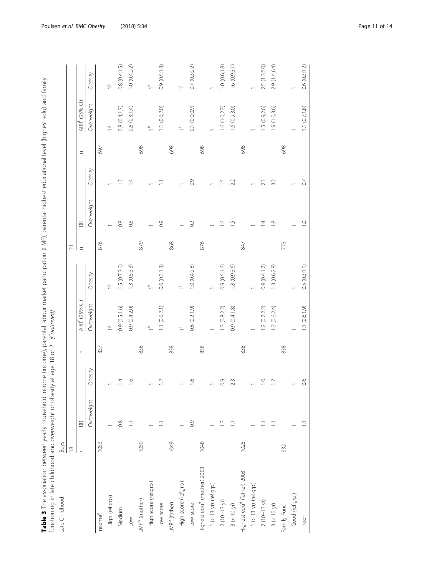| i<br>i<br>j<br>١<br>١<br>C  C  C<br>$\frac{1}{2}$<br>֦֦֦֦֦֦֦֦֦֧֦֧֦֧֦֧֦ׅ֧֦֧֦֧֦֧֦֧֦֧֦֧ׅ֧֧ׅ֧֦֧֩֘֩֩֩֩֩֩֓֝֘֝֘֝֘֝֘֝֝֘֝֘֝֝֝֬֝֬֝֓֝֓֜֓֝֜֓֝֬֜֜<br>֧֧֧֪֪֧֪֧֧֛֛֛֛֛֛֛֛֛֪֚֚֝֝֘֝֝֘֜֜֜֜֝<br>J<br>֖֦֦֦֖֪֪֪֦֪֧֪֪֦֧֪֪֧֧֪֪֪֪֪֪֪֪֪֪֪֪֪֪֪֪֪֪֚֚֚֚֚֚֚֚֚֚֚֚֚֬֝֝֝֬֝֝֝֝֝֝֝֝֝֓֝֝֬֝֓֝֬֝֓֝֬֓֝֓֝֬֝֬֝֓֝֬֝֓֝֬<br>$-1 - 1$<br>j<br>j<br>$\begin{array}{c} 0.1 \ 0.1 \ 0.1 \end{array}$<br>$\frac{1}{2}$<br>$\sim$ ADM $\sim$<br>$\frac{1}{2}$<br>きょうこうしょう オクソイク<br>$-2$<br>.<br>.<br>.<br>.<br>j<br>י<br>ג<br>ג<br>$\frac{1}{1}$<br>susanolo income<br>ニシュニン シニン<br>J<br>המותחת ול<br>.<br>$\frac{1}{2}$ | with the section of and a continue of the section of the section of the section of $\sim$<br>$\frac{1}{2}$<br>こうりつ<br>くこうこう てらってり<br>)<br>J<br>$\frac{1}{2}$ |
|------------------------------------------------------------------------------------------------------------------------------------------------------------------------------------------------------------------------------------------------------------------------------------------------------------------------------------------------------------------------------------------------------------------------------------------------------------------------------------------------------------------------------------------------------------------------|--------------------------------------------------------------------------------------------------------------------------------------------------------------|
| :CONNECTION CONNECTION                                                                                                                                                                                                                                                                                                                                                                                                                                                                                                                                                 | 47:14, c+c  c: c c:c c:t c : +                                                                                                                               |
| )<br>5                                                                                                                                                                                                                                                                                                                                                                                                                                                                                                                                                                 | ラシリンコ                                                                                                                                                        |
| )<br>)<br>)<br>)<br>)                                                                                                                                                                                                                                                                                                                                                                                                                                                                                                                                                  | ֦֧֦֦֧֦֦֧֦֧ׅ֖֖֖ׅ֖ׅׅׅ֖ׅ֖ׅ֖ׅ֧ׅׅ֖֖ׅׅ֧ׅׅ֖ׅ֖֧֪ׅ֖֧֚֚֚֚֚֚֚֚֚֝֝֬֝֬֝֬֝֬֝֬֝֬֝֝֓֝֬֝֬֝֝֬֝֬֝֝                                                                              |
| =<br>}<br>}<br>}                                                                                                                                                                                                                                                                                                                                                                                                                                                                                                                                                       | )                                                                                                                                                            |

| Late Childhood                         | <b>Boys</b> |                                |                |           |                           |               |                |                |                |           |                           |                  |
|----------------------------------------|-------------|--------------------------------|----------------|-----------|---------------------------|---------------|----------------|----------------|----------------|-----------|---------------------------|------------------|
|                                        | $\approx$   |                                |                |           |                           |               | $\overline{z}$ |                |                |           |                           |                  |
|                                        | $\subset$   | $\underset{\text{R}}{\approx}$ |                | $\subset$ | ARR <sup>F</sup> (95% CI) |               | $\subset$      | Æ              |                | $\subset$ | ARR <sup>F</sup> (95% CI) |                  |
|                                        |             | Overweight                     | Obesity        |           | Overweight                | Obesity       |                | Overweight     | Obesity        |           | Overweight                | Obesity          |
| Income <sup>a</sup>                    | 1053        |                                |                | 837       |                           |               | 876            |                |                | 697       |                           |                  |
| High (ref.grp.)                        |             |                                |                |           | $\overline{C}$            | 믿             |                |                |                |           | 믿                         | $\frac{1}{2}$    |
| Medium                                 |             | 0.8                            | 4.             |           | 0.9(0.5;1.6)              | 1.5(0.7;3.0)  |                | $\frac{8}{2}$  | Ņ              |           | 0.8(0.4, 1.3)             | 0.8(0.4, 1.5)    |
| Low                                    |             | Ξ                              | $\circ$        |           | 0.9(0.4;2.0)              | 1.3(0.5;3.3)  |                | 66             | $\overline{4}$ |           | 0.6(0.3, 1.4)             | 1.0(0.42.2)      |
| LMP <sup>b</sup> (mother)              | 1059        |                                |                | 838       |                           |               | 879            |                |                | 698       |                           |                  |
| High score (ref.grp.)                  |             |                                |                |           | $\frac{1}{\sqrt{2}}$      | Ļ             |                |                |                |           | ÷,                        | $\frac{1}{\tau}$ |
| Low score                              |             | Ξ                              | Ņ              |           | 1.1 (0.6; 2.1)            | 0.6(0.3, 1.3) |                | $\overline{0}$ | Ξ              |           | 1.1(0.62.0)               | 0.9(0.5, 1.8)    |
| LMP <sup>b</sup> (father)              | 1049        |                                |                | 838       |                           |               | 868            |                |                | 698       |                           |                  |
| High score (ref.grp.)                  |             |                                |                |           |                           |               |                |                |                |           |                           |                  |
| Low score                              |             | $\overline{0}$ .               | $\circ$        |           | 0.6(0.2:1.9)              | 1.0(0.42.8)   |                | $\overline{O}$ | $\overline{0}$ |           | $(0.0, 0.0)$ 1.0          | 0.7(0.3,2.2)     |
| Highest edu <sup>d</sup> (mother) 2003 | 1048        |                                |                | 838       |                           |               | 876            |                |                | 698       |                           |                  |
| $1 (> 13$ yr) (ref.grp.)               |             |                                |                |           |                           |               |                |                |                |           |                           |                  |
| $2(10-13 \text{ yr})$                  |             | $\frac{3}{2}$                  | $\overline{0}$ |           | 1.3(0.8, 2.2)             | 0.9(0.5, 1.6) |                | $\overline{9}$ | $\frac{5}{1}$  |           | 1.6(1.0;2.7)              | 1.0(0.6;1.8)     |
| $3\ (< 10$ yr)                         |             | $\Box$                         | 23             |           | 0.9(0.4, 1.8)             | 1.8(0.93.6)   |                | $\overline{1}$ | 2.2            |           | 1.6(0.93.0)               | 1.6(0.9,3.1)     |
| Highest edu <sup>d</sup> (father) 2003 | 1025        |                                |                | 838       |                           |               | 847            |                |                | 698       |                           |                  |
| $1$ (> 13 yr) (ref.grp.)               |             |                                |                |           |                           |               |                |                |                |           |                           |                  |
| $2(10-13 \text{ yr})$                  |             | Ξ                              | $\bigcirc$     |           | 1.2(0.7;2.2)              | 0.9(0.4, 1.7) |                | $\overline{4}$ | 23             |           | 1.5(0.92.6)               | 2.5(1.3,5.0)     |
| $3\ (\leqslant 10\ \rm{yr})$           |             | Ξ                              | ⊵              |           | 1.2(0.6;2.4)              | 1.3 (0.6;2.8) |                | $\frac{8}{1}$  | 3.2            |           | 1.9(1.03.6)               | 2.9 (1.4,6.4)    |
| Family Func <sup>c</sup>               | 932         |                                |                | 838       |                           |               | 773            |                |                | 698       |                           |                  |
| Good (ref.grp.)                        |             |                                |                |           |                           |               |                |                |                |           |                           |                  |
| Poor                                   |             | Ξ                              | 0.6            |           | 1.1 (0.6, 1.9)            | 0.5(0.3;1.1)  |                | $\supseteq$    | $\overline{O}$ |           | 1.1 (0.71.8)              | 0.6(0.3;1.2)     |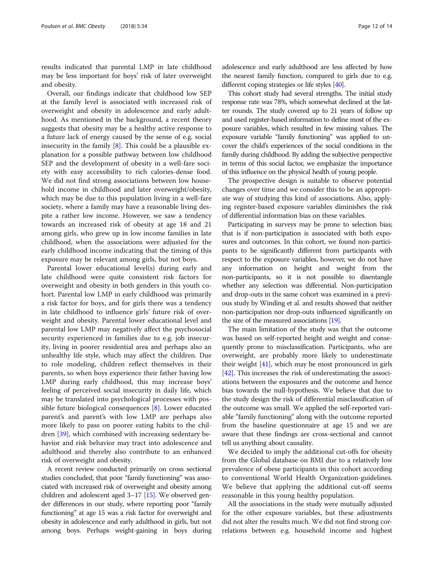results indicated that parental LMP in late childhood may be less important for boys' risk of later overweight and obesity.

Overall, our findings indicate that childhood low SEP at the family level is associated with increased risk of overweight and obesity in adolescence and early adulthood. As mentioned in the background, a recent theory suggests that obesity may be a healthy active response to a future lack of energy caused by the sense of e.g. social insecurity in the family [\[8\]](#page-13-0). This could be a plausible explanation for a possible pathway between low childhood SEP and the development of obesity in a well-fare society with easy accessibility to rich calories-dense food. We did not find strong associations between low household income in childhood and later overweight/obesity, which may be due to this population living in a well-fare society, where a family may have a reasonable living despite a rather low income. However, we saw a tendency towards an increased risk of obesity at age 18 and 21 among girls, who grew up in low income families in late childhood, when the associations were adjusted for the early childhood income indicating that the timing of this exposure may be relevant among girls, but not boys.

Parental lower educational level(s) during early and late childhood were quite consistent risk factors for overweight and obesity in both genders in this youth cohort. Parental low LMP in early childhood was primarily a risk factor for boys, and for girls there was a tendency in late childhood to influence girls' future risk of overweight and obesity. Parental lower educational level and parental low LMP may negatively affect the psychosocial security experienced in families due to e.g. job insecurity, living in poorer residential area and perhaps also an unhealthy life style, which may affect the children. Due to role modeling, children reflect themselves in their parents, so when boys experience their father having low LMP during early childhood, this may increase boys' feeling of perceived social insecurity in daily life, which may be translated into psychological processes with possible future biological consequences [[8](#page-13-0)]. Lower educated parent's and parent's with low LMP are perhaps also more likely to pass on poorer eating habits to the children [[39](#page-13-0)], which combined with increasing sedentary behavior and risk behavior may tract into adolescence and adulthood and thereby also contribute to an enhanced risk of overweight and obesity.

A recent review conducted primarily on cross sectional studies concluded, that poor "family functioning" was associated with increased risk of overweight and obesity among children and adolescent aged 3–17 [\[15\]](#page-13-0). We observed gender differences in our study, where reporting poor "family functioning" at age 15 was a risk factor for overweight and obesity in adolescence and early adulthood in girls, but not among boys. Perhaps weight-gaining in boys during adolescence and early adulthood are less affected by how the nearest family function, compared to girls due to e.g. different coping strategies or life styles [[40](#page-13-0)].

This cohort study had several strengths. The initial study response rate was 78%, which somewhat declined at the latter rounds. The study covered up to 21 years of follow up and used register-based information to define most of the exposure variables, which resulted in few missing values. The exposure variable "family functioning" was applied to uncover the child's experiences of the social conditions in the family during childhood. By adding the subjective perspective in terms of this social factor, we emphasize the importance of this influence on the physical health of young people.

The prospective design is suitable to observe potential changes over time and we consider this to be an appropriate way of studying this kind of associations. Also, applying register-based exposure variables diminishes the risk of differential information bias on these variables.

Participating in surveys may be prone to selection bias; that is if non-participation is associated with both exposures and outcomes. In this cohort, we found non-participants to be significantly different from participants with respect to the exposure variables, however, we do not have any information on height and weight from the non-participants, so it is not possible to disentangle whether any selection was differential. Non-participation and drop-outs in the same cohort was examined in a previous study by Winding et al. and results showed that neither non-participation nor drop-outs influenced significantly on the size of the measured associations [\[19\]](#page-13-0).

The main limitation of the study was that the outcome was based on self-reported height and weight and consequently prone to misclassification. Participants, who are overweight, are probably more likely to underestimate their weight  $[41]$ , which may be most pronounced in girls [[42](#page-13-0)]. This increases the risk of underestimating the associations between the exposures and the outcome and hence bias towards the null-hypothesis. We believe that due to the study design the risk of differential misclassification of the outcome was small. We applied the self-reported variable "family functioning" along with the outcome reported from the baseline questionnaire at age 15 and we are aware that these findings are cross-sectional and cannot tell us anything about causality.

We decided to imply the additional cut-offs for obesity from the Global database on BMI due to a relatively low prevalence of obese participants in this cohort according to conventional World Health Organization-guidelines. We believe that applying the additional cut-off seems reasonable in this young healthy population.

All the associations in the study were mutually adjusted for the other exposure variables, but these adjustments did not alter the results much. We did not find strong correlations between e.g. household income and highest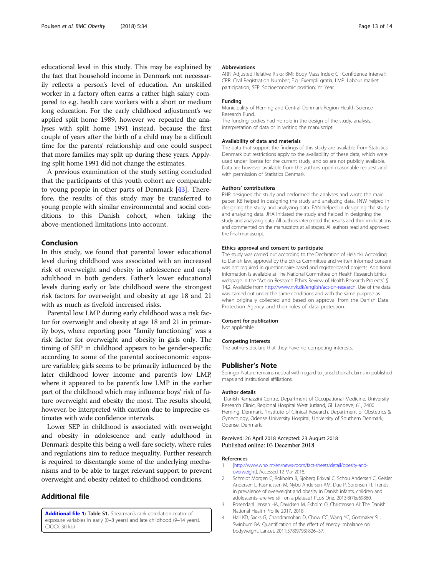<span id="page-12-0"></span>educational level in this study. This may be explained by the fact that household income in Denmark not necessarily reflects a person's level of education. An unskilled worker in a factory often earns a rather high salary compared to e.g. health care workers with a short or medium long education. For the early childhood adjustment's we applied split home 1989, however we repeated the analyses with split home 1991 instead, because the first couple of years after the birth of a child may be a difficult time for the parents' relationship and one could suspect that more families may split up during these years. Applying split home 1991 did not change the estimates.

A previous examination of the study setting concluded that the participants of this youth cohort are comparable to young people in other parts of Denmark [\[43\]](#page-13-0). Therefore, the results of this study may be transferred to young people with similar environmental and social conditions to this Danish cohort, when taking the above-mentioned limitations into account.

## Conclusion

In this study, we found that parental lower educational level during childhood was associated with an increased risk of overweight and obesity in adolescence and early adulthood in both genders. Father's lower educational levels during early or late childhood were the strongest risk factors for overweight and obesity at age 18 and 21 with as much as fivefold increased risks.

Parental low LMP during early childhood was a risk factor for overweight and obesity at age 18 and 21 in primarily boys, where reporting poor "family functioning" was a risk factor for overweight and obesity in girls only. The timing of SEP in childhood appears to be gender-specific according to some of the parental socioeconomic exposure variables; girls seems to be primarily influenced by the later childhood lower income and parent's low LMP, where it appeared to be parent's low LMP in the earlier part of the childhood which may influence boys' risk of future overweight and obesity the most. The results should, however, be interpreted with caution due to imprecise estimates with wide confidence intervals.

Lower SEP in childhood is associated with overweight and obesity in adolescence and early adulthood in Denmark despite this being a well-fare society, where rules and regulations aim to reduce inequality. Further research is required to disentangle some of the underlying mechanisms and to be able to target relevant support to prevent overweight and obesity related to childhood conditions.

## Additional file

[Additional file 1:](https://doi.org/10.1186/s40608-018-0210-8) Table S1. Spearman's rank correlation matrix of exposure variables in early (0–8 years) and late childhood (9–14 years). (DOCX 30 kb)

## Abbreviations

ARR: Adjusted Relative Risks; BMI: Body Mass Index; CI: Confidence interval; CPR: Civil Registration Number; E.g.: Exempli gratia; LMP: Labour market participation; SEP: Socioeconomic position; Yr: Year

## Funding

Municipality of Herning and Central Denmark Region Health Science Research Fund.

The funding bodies had no role in the design of the study, analysis, interpretation of data or in writing the manuscript.

## Availability of data and materials

The data that support the findings of this study are available from Statistics Denmark but restrictions apply to the availability of these data, which were used under license for the current study, and so are not publicly available. Data are however available from the authors upon reasonable request and with permission of Statistics Denmark.

#### Authors' contributions

PHP designed the study and performed the analyses and wrote the main paper. KB helped in designing the study and analyzing data. TNW helped in designing the study and analyzing data. EAN helped in designing the study and analyzing data. JHA initiated the study and helped in designing the study and analyzing data. All authors interpreted the results and their implications and commented on the manuscripts at all stages. All authors read and approved the final manuscript.

## Ethics approval and consent to participate

The study was carried out according to the Declaration of Helsinki. According to Danish law, approval by the Ethics Committee and written informed consent was not required in questionnaire-based and register-based projects. Additional information is available at The National Committee on Health Research Ethics' webpage in the "Act on Research Ethics Review of Health Research Projects" § 14,2. Available from <http://www.nvk.dk/english/act-on-research>. Use of the data was carried out under the same conditions and with the same purpose as when originally collected and based on approval from the Danish Data Protection Agency and their rules of data protection.

## Consent for publication

Not applicable.

## Competing interests

The authors declare that they have no competing interests.

## Publisher's Note

Springer Nature remains neutral with regard to jurisdictional claims in published maps and institutional affiliations.

#### Author details

<sup>1</sup> Danish Ramazzini Centre, Department of Occupational Medicine, University Research Clinic, Regional Hospital West Jutland, Gl. Landevej 61, 7400 Herning, Denmark.<sup>2</sup>Institute of Clinical Research, Department of Obstetrics & Gynecology, Odense University Hospital, University of Southern Denmark, Odense, Denmark.

## Received: 26 April 2018 Accepted: 23 August 2018 Published online: 03 December 2018

## References

- 1. [[http://www.who.int/en/news-room/fact-sheets/detail/obesity-and](http://www.who.int/en/news-room/fact-sheets/detail/obesity-and-overweight)[overweight](http://www.who.int/en/news-room/fact-sheets/detail/obesity-and-overweight)]. Accessed 12 Mar 2018.
- 2. Schmidt Morgen C, Rokholm B, Sjoberg Brixval C, Schou Andersen C, Geisler Andersen L, Rasmussen M, Nybo Andersen AM, Due P, Sorensen TI. Trends in prevalence of overweight and obesity in Danish infants, children and adolescents--are we still on a plateau? PLoS One. 2013;8(7):e69860.
- 3. Rosendahl Jensen HA, Davidsen M, Ekholm O, Christensen AI: The Danish National Health Profile 2017. 2018.
- 4. Hall KD, Sacks G, Chandramohan D, Chow CC, Wang YC, Gortmaker SL, Swinburn BA. Quantification of the effect of energy imbalance on bodyweight. Lancet. 2011;378(9793):826–37.